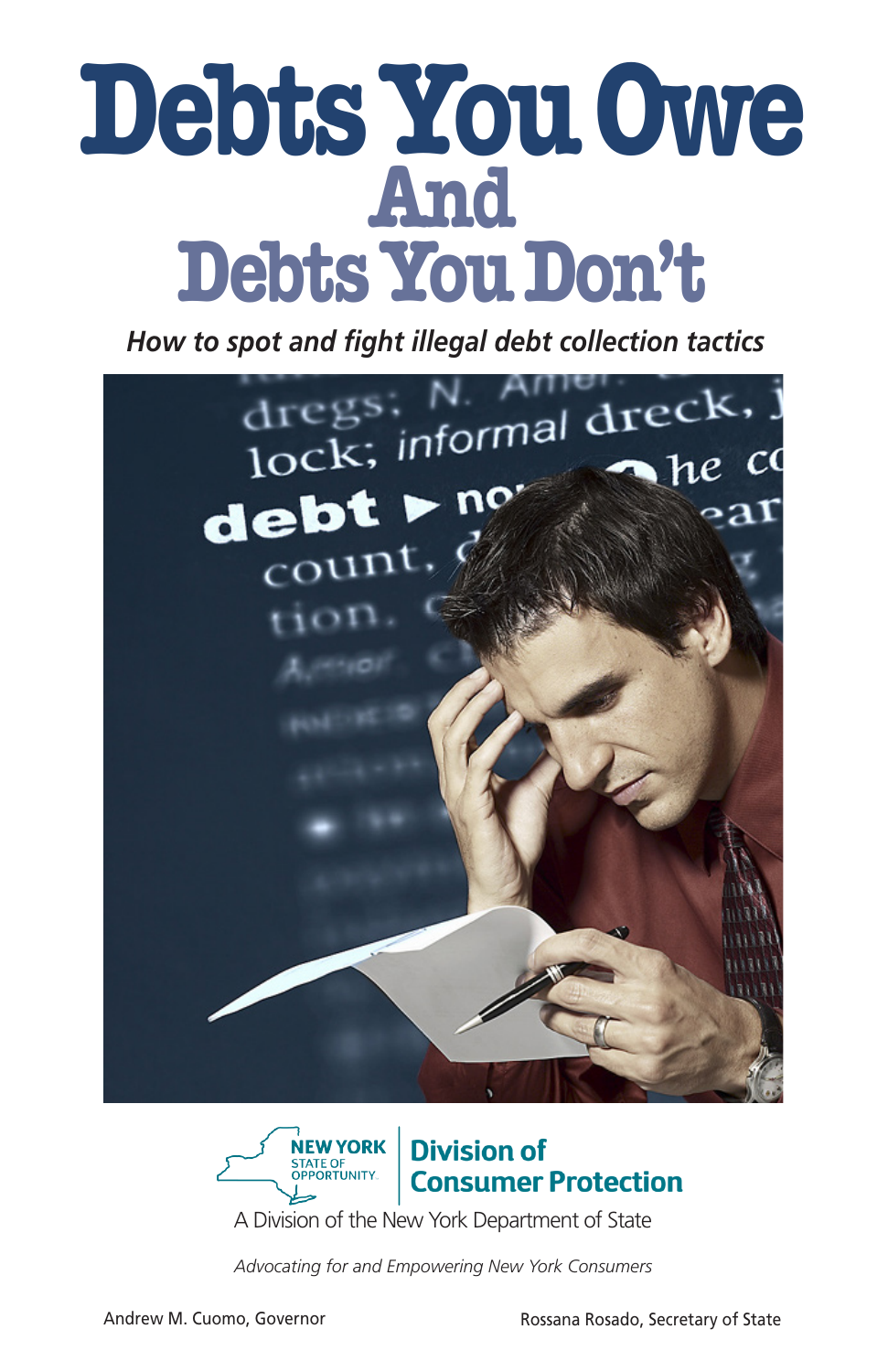# **DebtsYouOwe And** Debts You Don't

*How to spot and fight illegal debt collection tactics*





A Division of the New York Department of State

*Advocating for and Empowering New York Consumers*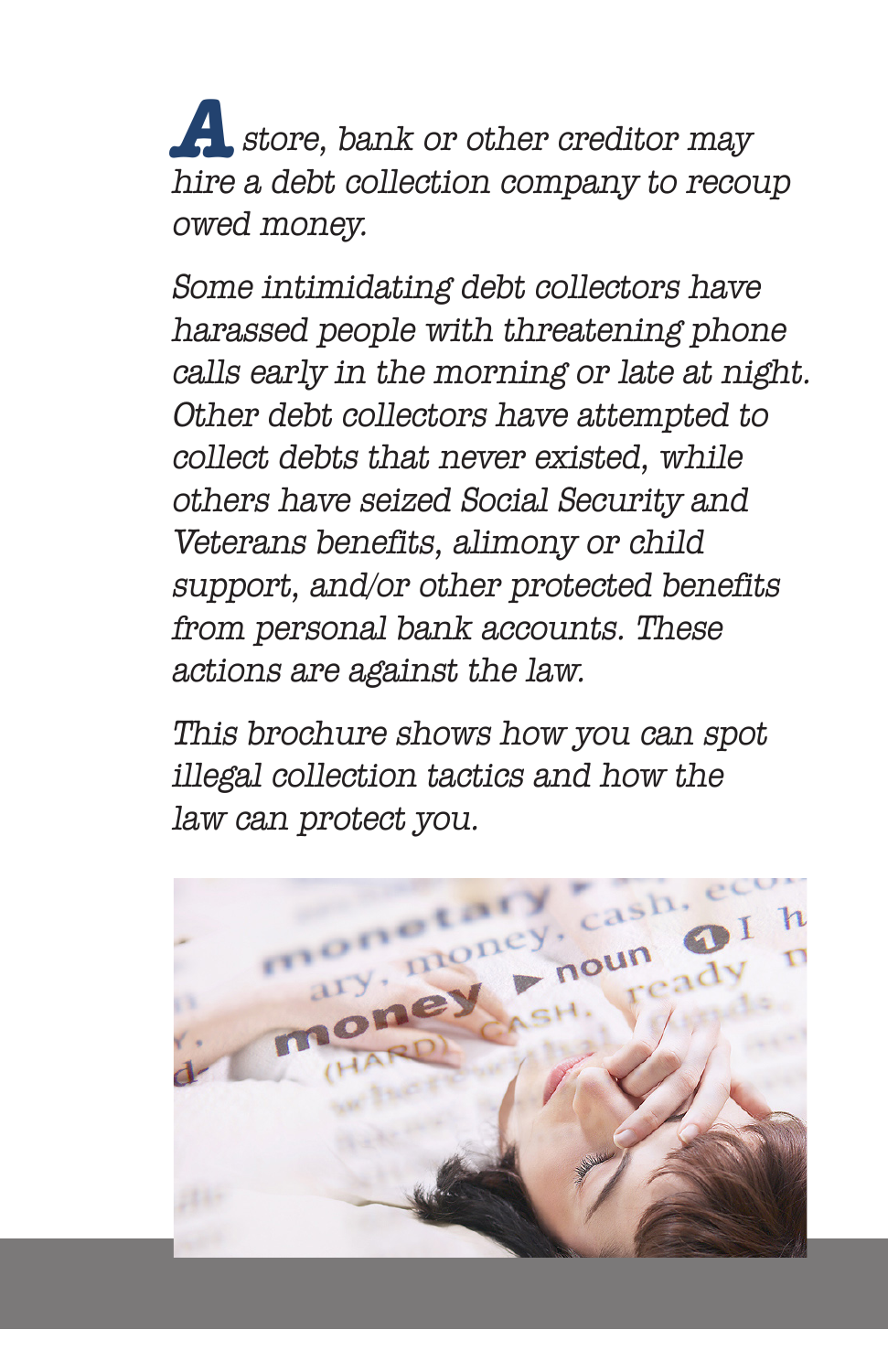**A** store, bank or other creditor may hire a debt collection company to recoup owed money.

Some intimidating debt collectors have harassed people with threatening phone calls early in the morning or late at night. Other debt collectors have attempted to collect debts that never existed, while others have seized Social Security and Veterans benefits, alimony or child support, and/or other protected benefits from personal bank accounts. These actions are against the law.

This brochure shows how you can spot illegal collection tactics and how the law can protect you.

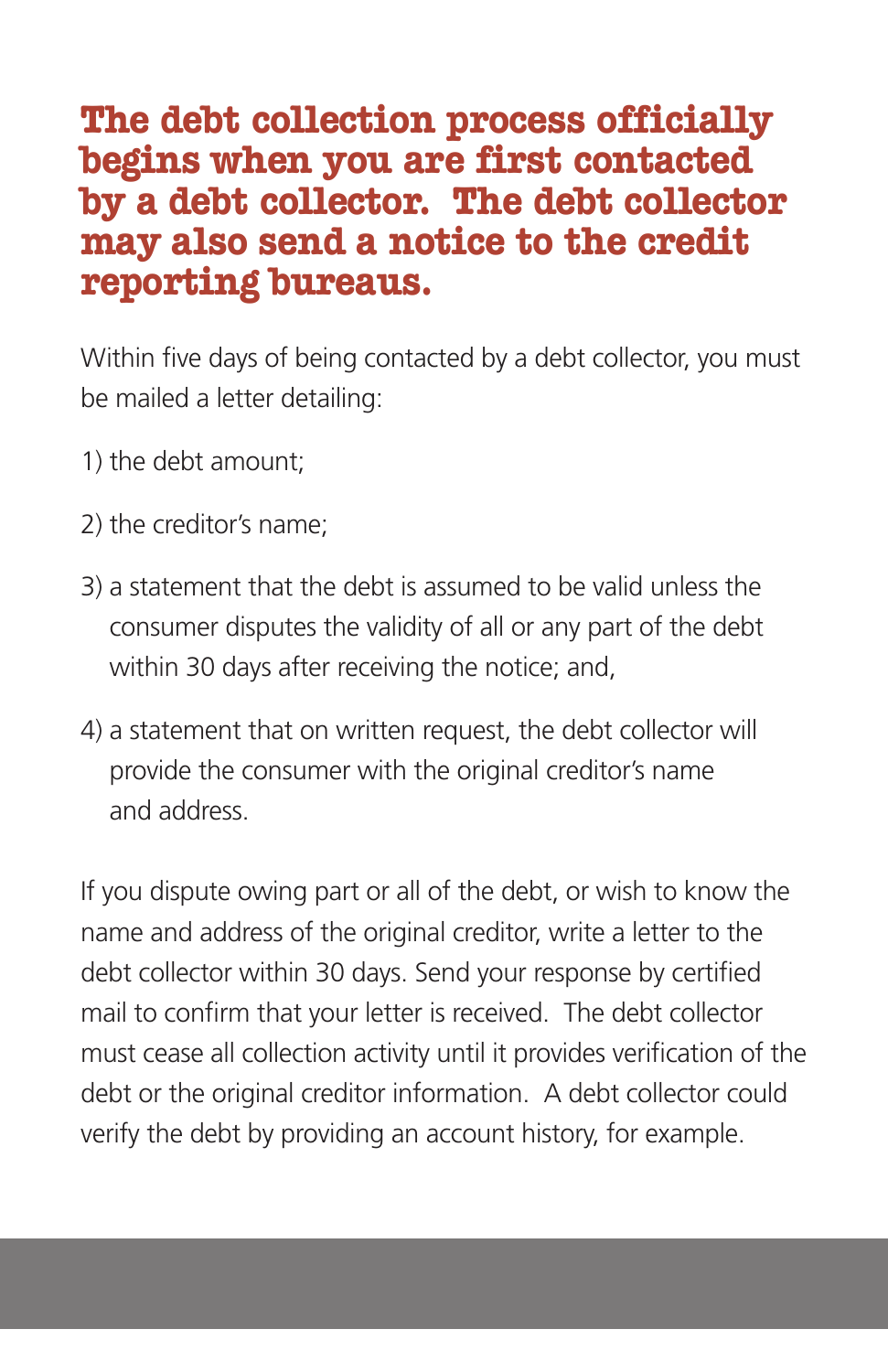# **The debt collection process officially begins when you are first contacted by a debt collector. The debt collector may also send a notice to the credit reporting bureaus.**

Within five days of being contacted by a debt collector, you must be mailed a letter detailing:

- 1) the debt amount;
- 2) the creditor's name;
- 3) a statement that the debt is assumed to be valid unless the consumer disputes the validity of all or any part of the debt within 30 days after receiving the notice; and,
- 4) a statement that on written request, the debt collector will provide the consumer with the original creditor's name and address.

If you dispute owing part or all of the debt, or wish to know the name and address of the original creditor, write a letter to the debt collector within 30 days. Send your response by certified mail to confirm that your letter is received. The debt collector must cease all collection activity until it provides verification of the debt or the original creditor information. A debt collector could verify the debt by providing an account history, for example.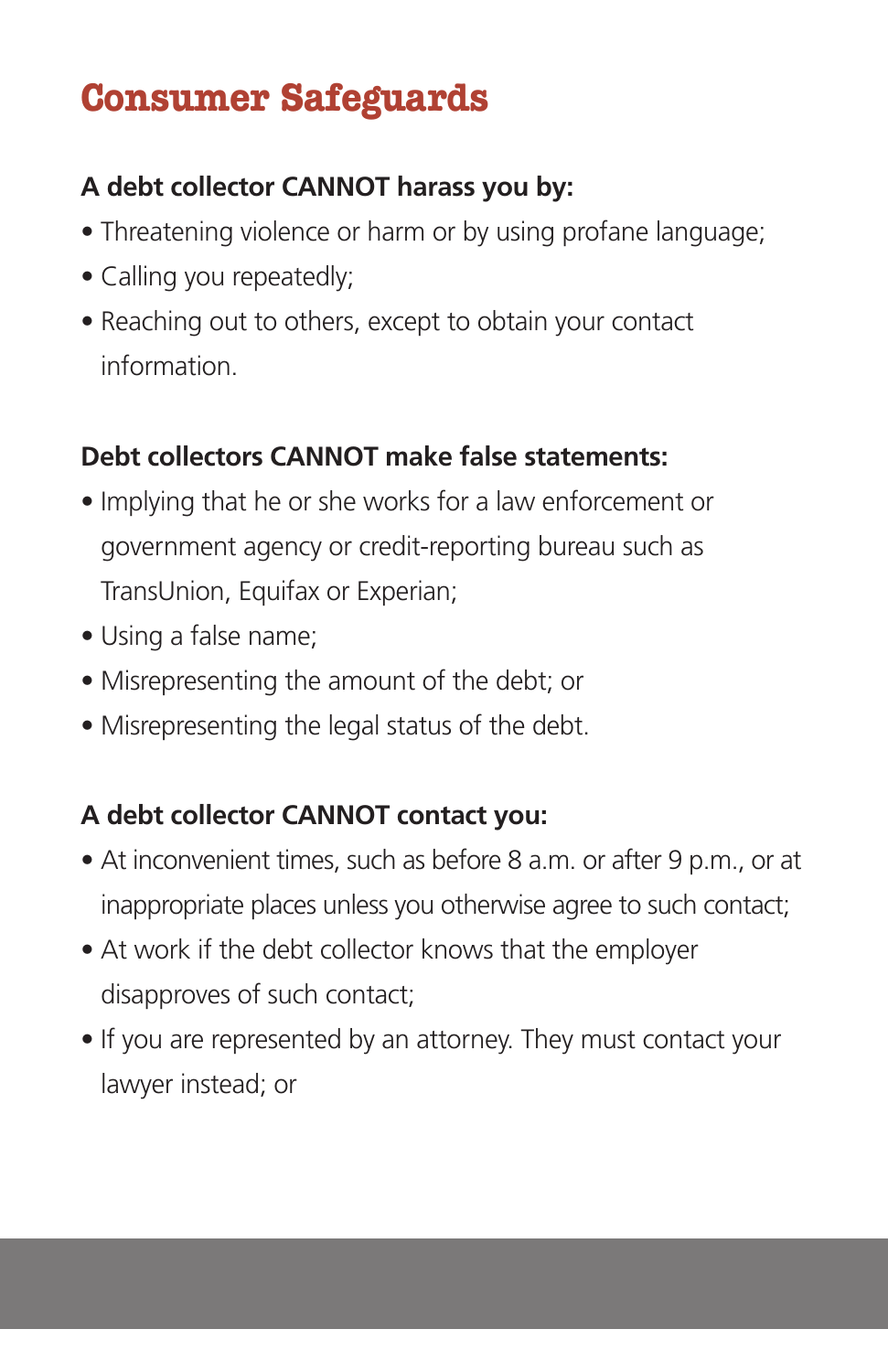# **Consumer Safeguards**

#### **A debt collector CANNOT harass you by:**

- Threatening violence or harm or by using profane language;
- Calling you repeatedly;
- Reaching out to others, except to obtain your contact information.

#### **Debt collectors CANNOT make false statements:**

- Implying that he or she works for a law enforcement or government agency or credit-reporting bureau such as TransUnion, Equifax or Experian;
- Using a false name;
- Misrepresenting the amount of the debt; or
- Misrepresenting the legal status of the debt.

#### **A debt collector CANNOT contact you:**

- At inconvenient times, such as before 8 a.m. or after 9 p.m., or at inappropriate places unless you otherwise agree to such contact;
- At work if the debt collector knows that the employer disapproves of such contact;
- If you are represented by an attorney. They must contact your lawyer instead; or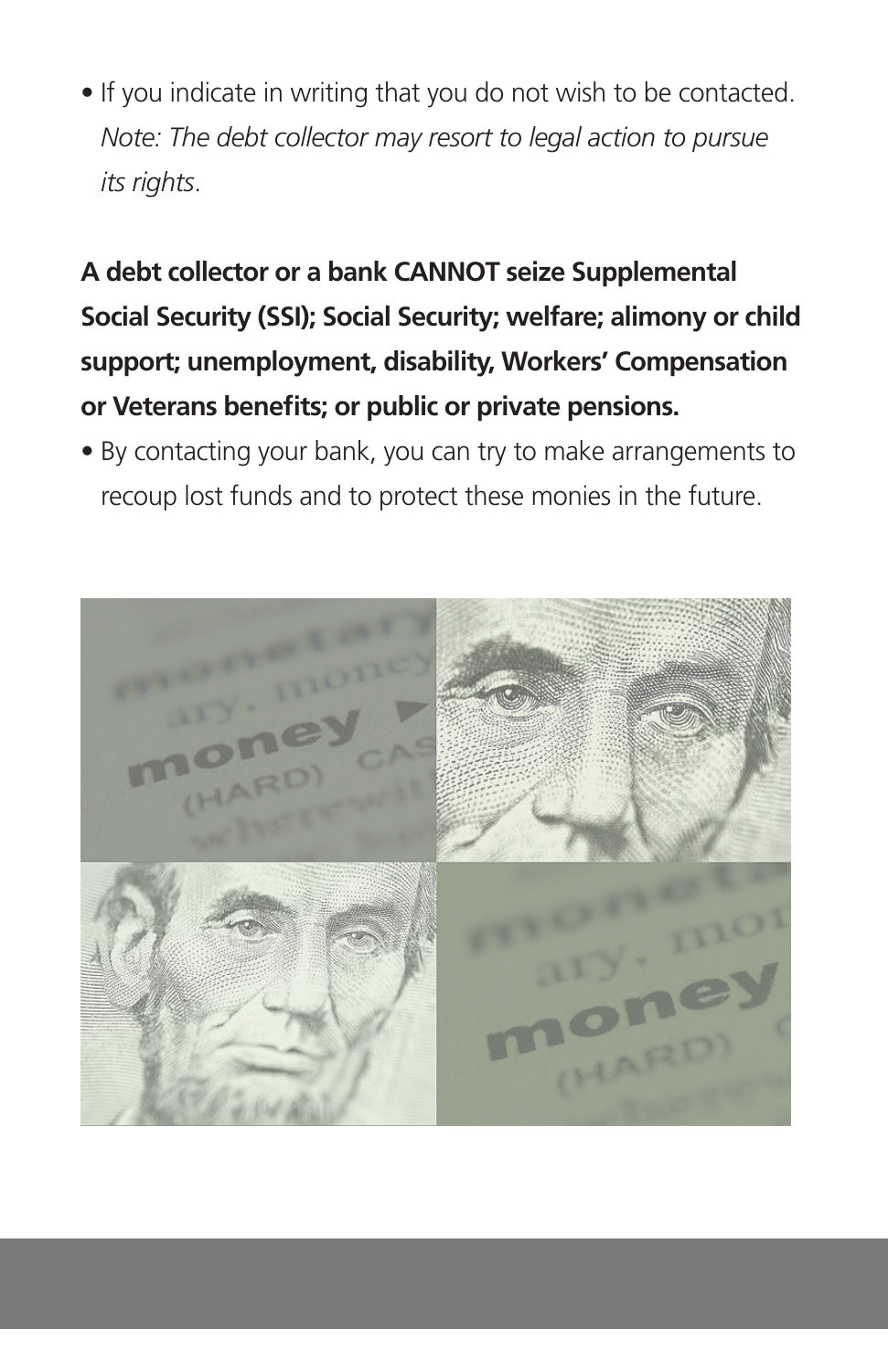• If you indicate in writing that you do not wish to be contacted. *Note: The debt collector may resort to legal action to pursue its rights*.

**A debt collector or a bank CANNOT seize Supplemental Social Security (SSI); Social Security; welfare; alimony or child support; unemployment, disability, Workers' Compensation or Veterans benefits; or public or private pensions.**

• By contacting your bank, you can try to make arrangements to recoup lost funds and to protect these monies in the future.

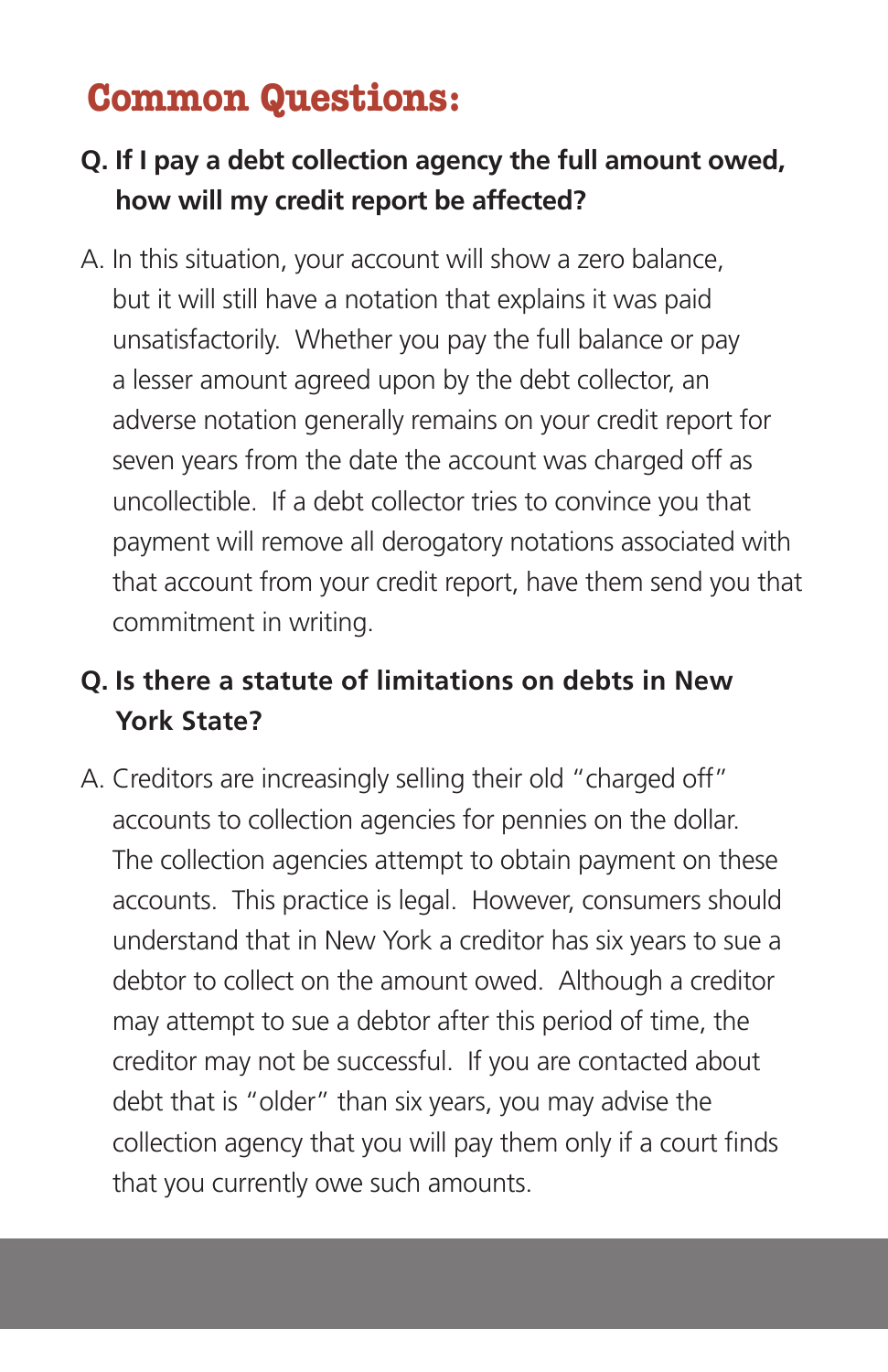# **Common Questions:**

- **Q. If I pay a debt collection agency the full amount owed, how will my credit report be affected?**
- A. In this situation, your account will show a zero balance, but it will still have a notation that explains it was paid unsatisfactorily. Whether you pay the full balance or pay a lesser amount agreed upon by the debt collector, an adverse notation generally remains on your credit report for seven years from the date the account was charged off as uncollectible. If a debt collector tries to convince you that payment will remove all derogatory notations associated with that account from your credit report, have them send you that commitment in writing.

# **Q. Is there a statute of limitations on debts in New York State?**

A. Creditors are increasingly selling their old "charged off" accounts to collection agencies for pennies on the dollar. The collection agencies attempt to obtain payment on these accounts. This practice is legal. However, consumers should understand that in New York a creditor has six years to sue a debtor to collect on the amount owed. Although a creditor may attempt to sue a debtor after this period of time, the creditor may not be successful. If you are contacted about debt that is "older" than six years, you may advise the collection agency that you will pay them only if a court finds that you currently owe such amounts.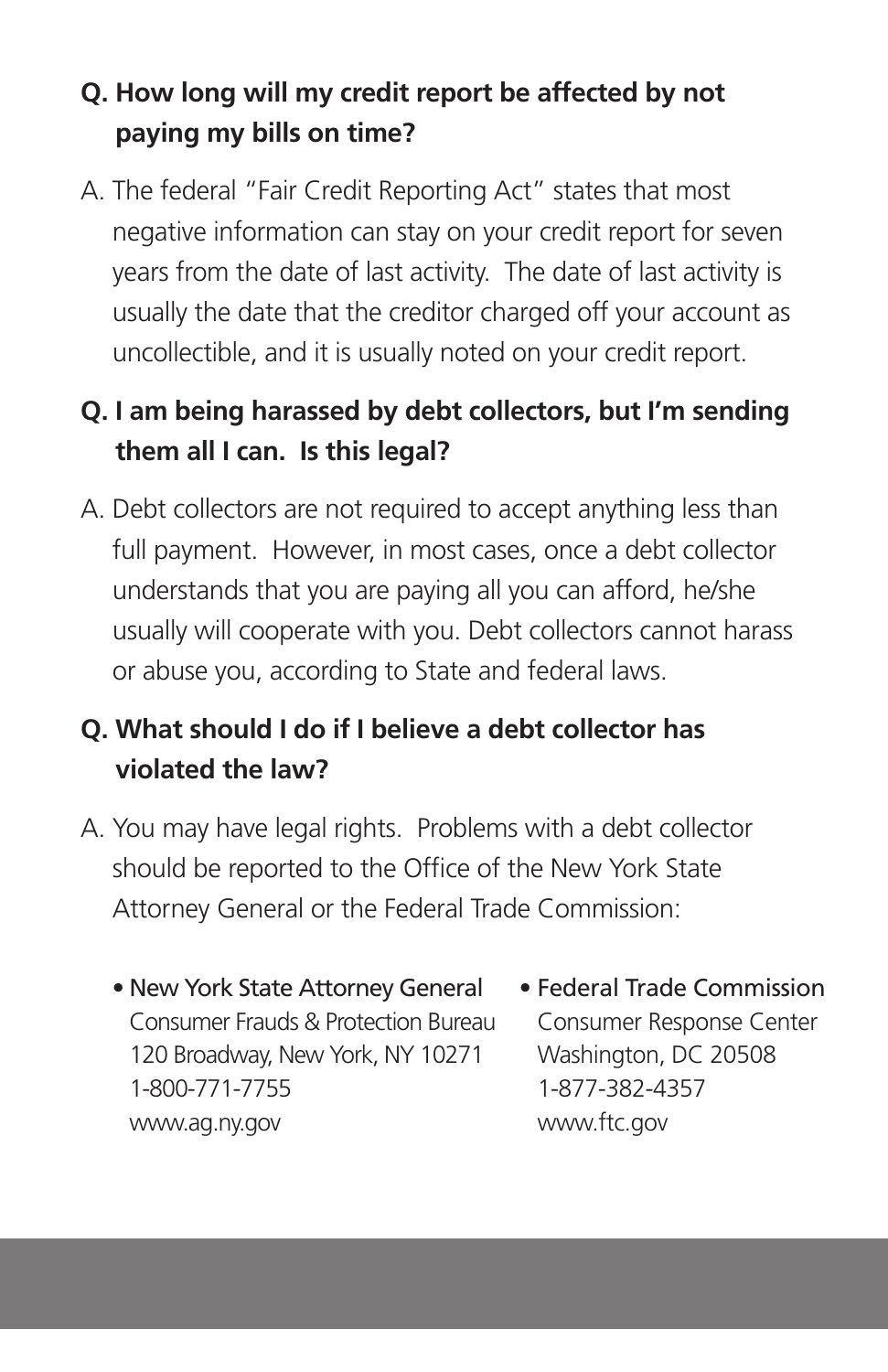# **Q. How long will my credit report be affected by not paying my bills on time?**

A. The federal "Fair Credit Reporting Act" states that most negative information can stay on your credit report for seven years from the date of last activity. The date of last activity is usually the date that the creditor charged off your account as uncollectible, and it is usually noted on your credit report.

# **Q. I am being harassed by debt collectors, but I'm sending them all I can. Is this legal?**

A. Debt collectors are not required to accept anything less than full payment. However, in most cases, once a debt collector understands that you are paying all you can afford, he/she usually will cooperate with you. Debt collectors cannot harass or abuse you, according to State and federal laws.

# **Q. What should I do if I believe a debt collector has violated the law?**

- A. You may have legal rights. Problems with a debt collector should be reported to the Office of the New York State Attorney General or the Federal Trade Commission:
	- New York State Attorney General Consumer Frauds & Protection Bureau 120 Broadway, New York, NY 10271 1-800-771-7755 www.ag.ny.gov
- Federal Trade Commission Consumer Response Center Washington, DC 20508 1-877-382-4357 www.ftc.gov